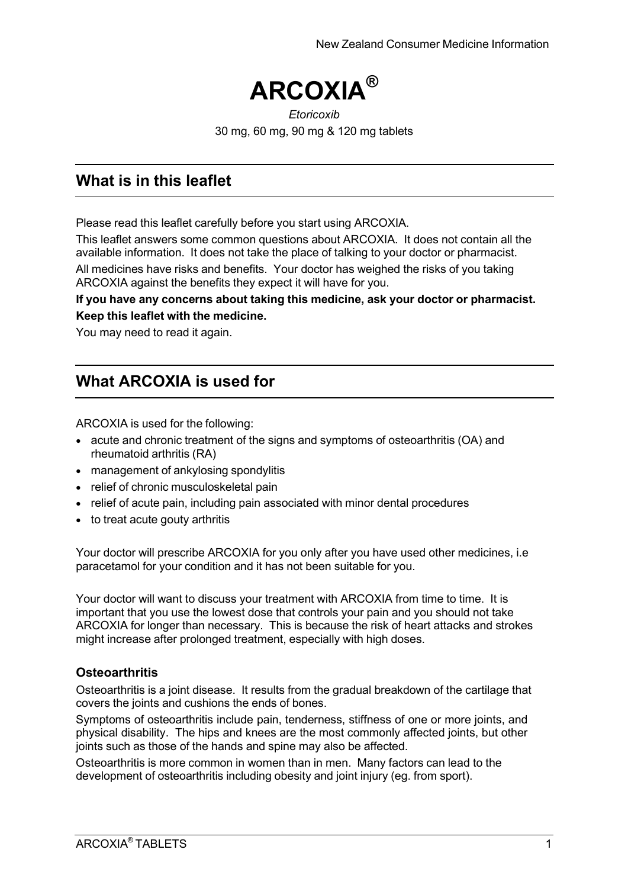

#### *Etoricoxib* 30 mg, 60 mg, 90 mg & 120 mg tablets

## **What is in this leaflet**

Please read this leaflet carefully before you start using ARCOXIA.

This leaflet answers some common questions about ARCOXIA. It does not contain all the available information. It does not take the place of talking to your doctor or pharmacist.

All medicines have risks and benefits. Your doctor has weighed the risks of you taking ARCOXIA against the benefits they expect it will have for you.

#### **If you have any concerns about taking this medicine, ask your doctor or pharmacist. Keep this leaflet with the medicine.**

You may need to read it again.

## **What ARCOXIA is used for**

ARCOXIA is used for the following:

- acute and chronic treatment of the signs and symptoms of osteoarthritis (OA) and rheumatoid arthritis (RA)
- management of ankylosing spondylitis
- relief of chronic musculoskeletal pain
- relief of acute pain, including pain associated with minor dental procedures
- to treat acute gouty arthritis

Your doctor will prescribe ARCOXIA for you only after you have used other medicines, i.e paracetamol for your condition and it has not been suitable for you.

Your doctor will want to discuss your treatment with ARCOXIA from time to time. It is important that you use the lowest dose that controls your pain and you should not take ARCOXIA for longer than necessary. This is because the risk of heart attacks and strokes might increase after prolonged treatment, especially with high doses.

### **Osteoarthritis**

Osteoarthritis is a joint disease. It results from the gradual breakdown of the cartilage that covers the joints and cushions the ends of bones.

Symptoms of osteoarthritis include pain, tenderness, stiffness of one or more joints, and physical disability. The hips and knees are the most commonly affected joints, but other joints such as those of the hands and spine may also be affected.

Osteoarthritis is more common in women than in men. Many factors can lead to the development of osteoarthritis including obesity and joint injury (eg. from sport).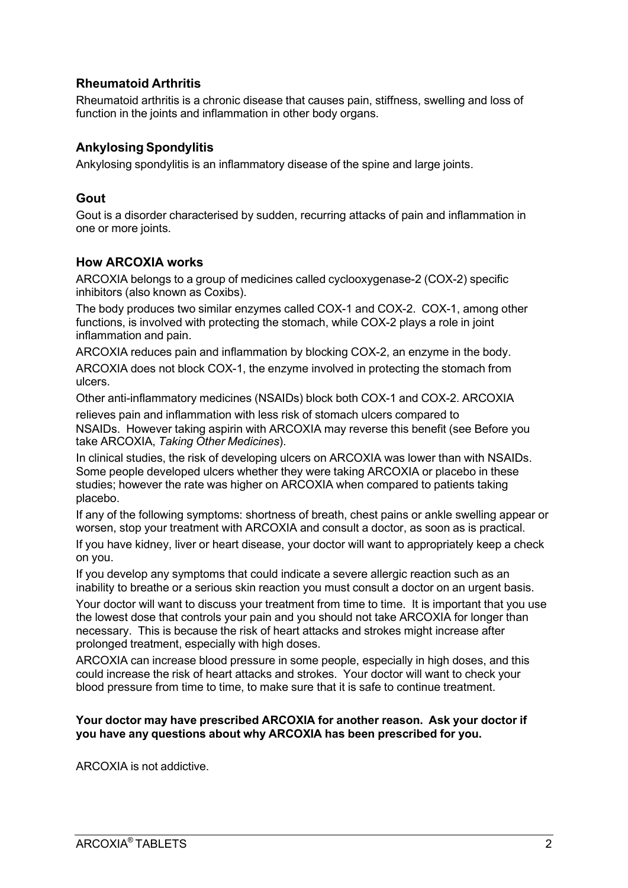### **Rheumatoid Arthritis**

Rheumatoid arthritis is a chronic disease that causes pain, stiffness, swelling and loss of function in the joints and inflammation in other body organs.

### **Ankylosing Spondylitis**

Ankylosing spondylitis is an inflammatory disease of the spine and large joints.

#### **Gout**

Gout is a disorder characterised by sudden, recurring attacks of pain and inflammation in one or more joints.

#### **How ARCOXIA works**

ARCOXIA belongs to a group of medicines called cyclooxygenase-2 (COX-2) specific inhibitors (also known as Coxibs).

The body produces two similar enzymes called COX-1 and COX-2. COX-1, among other functions, is involved with protecting the stomach, while COX-2 plays a role in joint inflammation and pain.

ARCOXIA reduces pain and inflammation by blocking COX-2, an enzyme in the body.

ARCOXIA does not block COX-1, the enzyme involved in protecting the stomach from ulcers.

Other anti-inflammatory medicines (NSAIDs) block both COX-1 and COX-2. ARCOXIA

relieves pain and inflammation with less risk of stomach ulcers compared to NSAIDs. However taking aspirin with ARCOXIA may reverse this benefit (see Before you take ARCOXIA, *Taking Other Medicines*).

In clinical studies, the risk of developing ulcers on ARCOXIA was lower than with NSAIDs. Some people developed ulcers whether they were taking ARCOXIA or placebo in these studies; however the rate was higher on ARCOXIA when compared to patients taking placebo.

If any of the following symptoms: shortness of breath, chest pains or ankle swelling appear or worsen, stop your treatment with ARCOXIA and consult a doctor, as soon as is practical.

If you have kidney, liver or heart disease, your doctor will want to appropriately keep a check on you.

If you develop any symptoms that could indicate a severe allergic reaction such as an inability to breathe or a serious skin reaction you must consult a doctor on an urgent basis.

Your doctor will want to discuss your treatment from time to time. It is important that you use the lowest dose that controls your pain and you should not take ARCOXIA for longer than necessary. This is because the risk of heart attacks and strokes might increase after prolonged treatment, especially with high doses.

ARCOXIA can increase blood pressure in some people, especially in high doses, and this could increase the risk of heart attacks and strokes. Your doctor will want to check your blood pressure from time to time, to make sure that it is safe to continue treatment.

#### **Your doctor may have prescribed ARCOXIA for another reason. Ask your doctor if you have any questions about why ARCOXIA has been prescribed for you.**

ARCOXIA is not addictive.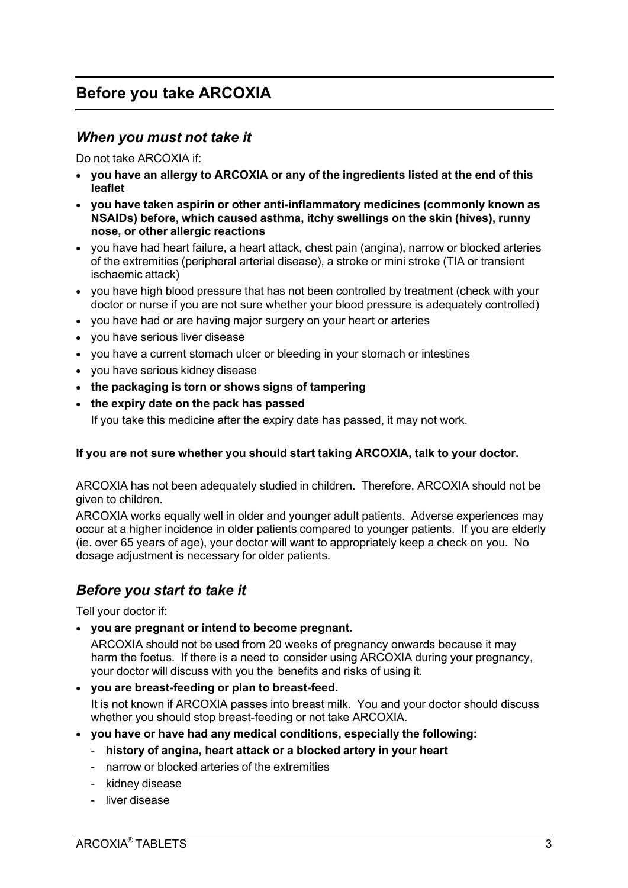## **Before you take ARCOXIA**

### *When you must not take it*

Do not take ARCOXIA if:

- **you have an allergy to ARCOXIA or any of the ingredients listed at the end of this leaflet**
- **you have taken aspirin or other anti-inflammatory medicines (commonly known as NSAIDs) before, which caused asthma, itchy swellings on the skin (hives), runny nose, or other allergic reactions**
- you have had heart failure, a heart attack, chest pain (angina), narrow or blocked arteries of the extremities (peripheral arterial disease), a stroke or mini stroke (TIA or transient ischaemic attack)
- you have high blood pressure that has not been controlled by treatment (check with your doctor or nurse if you are not sure whether your blood pressure is adequately controlled)
- you have had or are having major surgery on your heart or arteries
- you have serious liver disease
- you have a current stomach ulcer or bleeding in your stomach or intestines
- you have serious kidney disease
- **the packaging is torn or shows signs of tampering**
- **the expiry date on the pack has passed**

If you take this medicine after the expiry date has passed, it may not work.

#### **If you are not sure whether you should start taking ARCOXIA, talk to your doctor.**

ARCOXIA has not been adequately studied in children. Therefore, ARCOXIA should not be given to children.

ARCOXIA works equally well in older and younger adult patients. Adverse experiences may occur at a higher incidence in older patients compared to younger patients. If you are elderly (ie. over 65 years of age), your doctor will want to appropriately keep a check on you. No dosage adjustment is necessary for older patients.

## *Before you start to take it*

Tell your doctor if:

• **you are pregnant or intend to become pregnant.**

ARCOXIA should not be used from 20 weeks of pregnancy onwards because it may harm the foetus. If there is a need to consider using ARCOXIA during your pregnancy, your doctor will discuss with you the benefits and risks of using it.

• **you are breast-feeding or plan to breast-feed.**

It is not known if ARCOXIA passes into breast milk. You and your doctor should discuss whether you should stop breast-feeding or not take ARCOXIA.

- **you have or have had any medical conditions, especially the following:**
	- **history of angina, heart attack or a blocked artery in your heart**
	- narrow or blocked arteries of the extremities
	- kidney disease
	- liver disease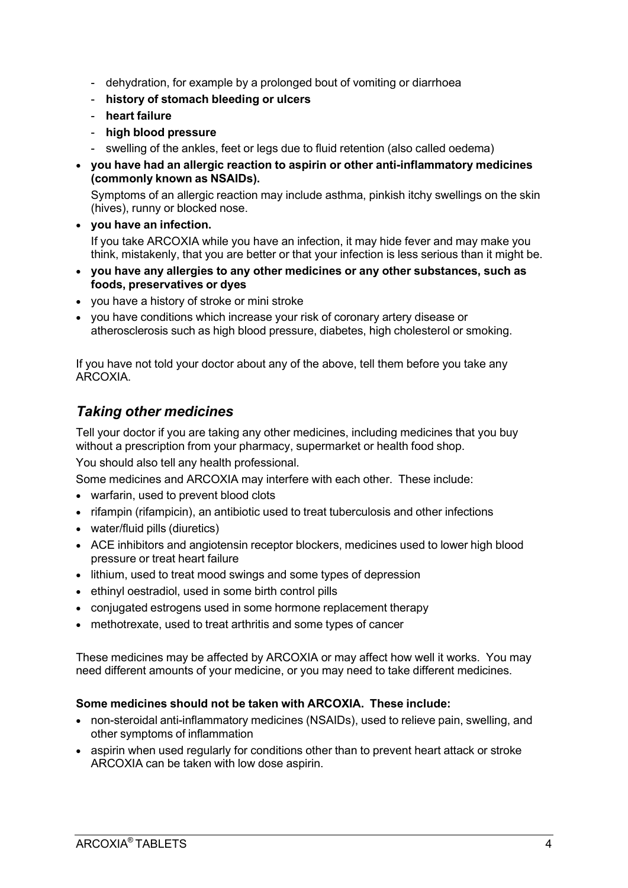- dehydration, for example by a prolonged bout of vomiting or diarrhoea
- **history of stomach bleeding or ulcers**
- **heart failure**
- **high blood pressure**
- swelling of the ankles, feet or legs due to fluid retention (also called oedema)
- **you have had an allergic reaction to aspirin or other anti-inflammatory medicines (commonly known as NSAIDs).**

Symptoms of an allergic reaction may include asthma, pinkish itchy swellings on the skin (hives), runny or blocked nose.

- **you have an infection.** If you take ARCOXIA while you have an infection, it may hide fever and may make you think, mistakenly, that you are better or that your infection is less serious than it might be.
- **you have any allergies to any other medicines or any other substances, such as foods, preservatives or dyes**
- you have a history of stroke or mini stroke
- you have conditions which increase your risk of coronary artery disease or atherosclerosis such as high blood pressure, diabetes, high cholesterol or smoking.

If you have not told your doctor about any of the above, tell them before you take any ARCOXIA.

## *Taking other medicines*

Tell your doctor if you are taking any other medicines, including medicines that you buy without a prescription from your pharmacy, supermarket or health food shop.

You should also tell any health professional.

Some medicines and ARCOXIA may interfere with each other. These include:

- warfarin, used to prevent blood clots
- rifampin (rifampicin), an antibiotic used to treat tuberculosis and other infections
- water/fluid pills (diuretics)
- ACE inhibitors and angiotensin receptor blockers, medicines used to lower high blood pressure or treat heart failure
- lithium, used to treat mood swings and some types of depression
- ethinyl oestradiol, used in some birth control pills
- conjugated estrogens used in some hormone replacement therapy
- methotrexate, used to treat arthritis and some types of cancer

These medicines may be affected by ARCOXIA or may affect how well it works. You may need different amounts of your medicine, or you may need to take different medicines.

#### **Some medicines should not be taken with ARCOXIA. These include:**

- non-steroidal anti-inflammatory medicines (NSAIDs), used to relieve pain, swelling, and other symptoms of inflammation
- aspirin when used regularly for conditions other than to prevent heart attack or stroke ARCOXIA can be taken with low dose aspirin.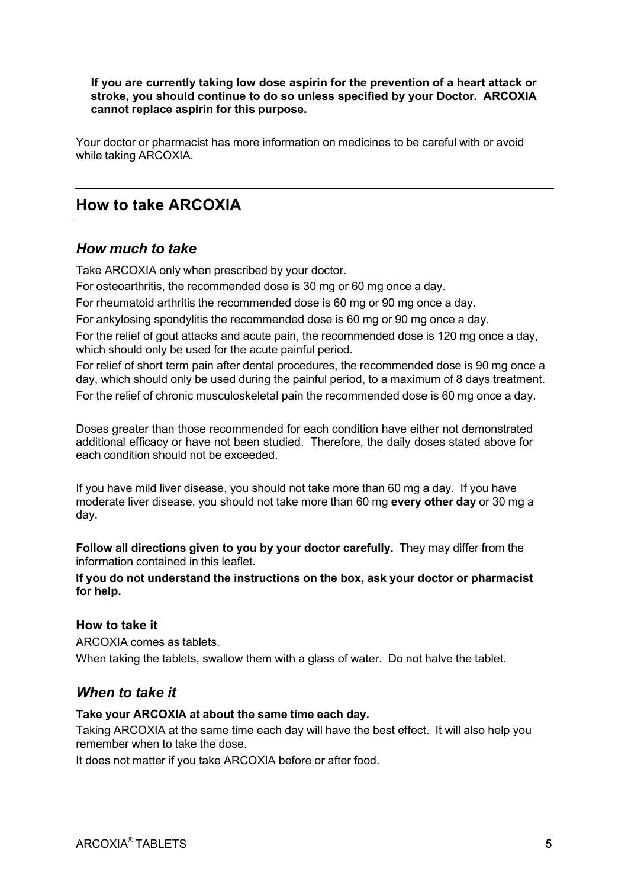#### **If you are currently taking low dose aspirin for the prevention of a heart attack or stroke, you should continue to do so unless specified by your Doctor. ARCOXIA cannot replace aspirin for this purpose.**

Your doctor or pharmacist has more information on medicines to be careful with or avoid while taking ARCOXIA.

## **How to take ARCOXIA**

### *How much to take*

Take ARCOXIA only when prescribed by your doctor.

For osteoarthritis, the recommended dose is 30 mg or 60 mg once a day.

For rheumatoid arthritis the recommended dose is 60 mg or 90 mg once a day.

For ankylosing spondylitis the recommended dose is 60 mg or 90 mg once a day.

For the relief of gout attacks and acute pain, the recommended dose is 120 mg once a day, which should only be used for the acute painful period.

For relief of short term pain after dental procedures, the recommended dose is 90 mg once a day, which should only be used during the painful period, to a maximum of 8 days treatment. For the relief of chronic musculoskeletal pain the recommended dose is 60 mg once a day.

Doses greater than those recommended for each condition have either not demonstrated additional efficacy or have not been studied. Therefore, the daily doses stated above for each condition should not be exceeded.

If you have mild liver disease, you should not take more than 60 mg a day. If you have moderate liver disease, you should not take more than 60 mg **every other day** or 30 mg a day.

**Follow all directions given to you by your doctor carefully.** They may differ from the information contained in this leaflet.

**If you do not understand the instructions on the box, ask your doctor or pharmacist for help.**

### **How to take it**

ARCOXIA comes as tablets. When taking the tablets, swallow them with a glass of water. Do not halve the tablet.

## *When to take it*

#### **Take your ARCOXIA at about the same time each day.**

Taking ARCOXIA at the same time each day will have the best effect. It will also help you remember when to take the dose.

It does not matter if you take ARCOXIA before or after food.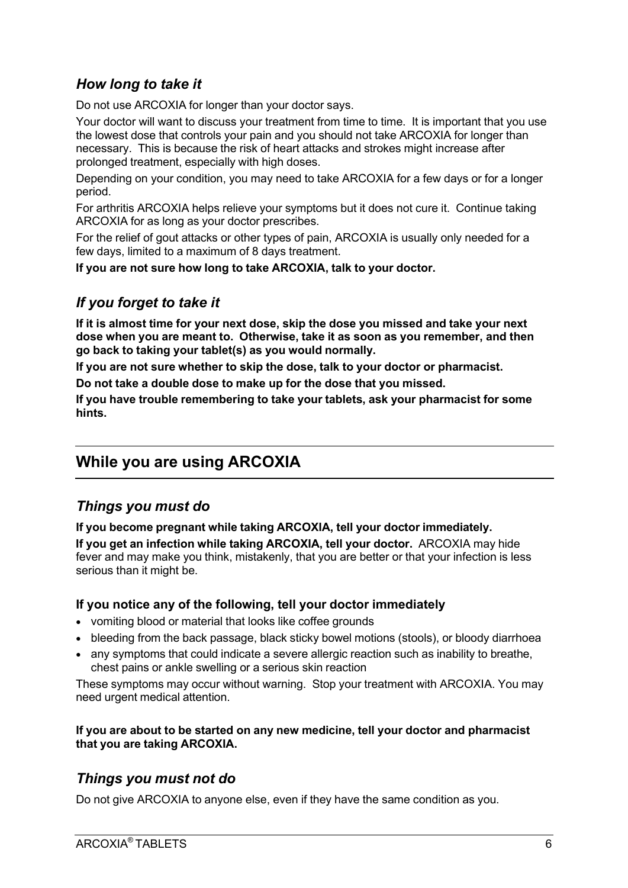## *How long to take it*

Do not use ARCOXIA for longer than your doctor says.

Your doctor will want to discuss your treatment from time to time. It is important that you use the lowest dose that controls your pain and you should not take ARCOXIA for longer than necessary. This is because the risk of heart attacks and strokes might increase after prolonged treatment, especially with high doses.

Depending on your condition, you may need to take ARCOXIA for a few days or for a longer period.

For arthritis ARCOXIA helps relieve your symptoms but it does not cure it. Continue taking ARCOXIA for as long as your doctor prescribes.

For the relief of gout attacks or other types of pain, ARCOXIA is usually only needed for a few days, limited to a maximum of 8 days treatment.

**If you are not sure how long to take ARCOXIA, talk to your doctor.**

## *If you forget to take it*

**If it is almost time for your next dose, skip the dose you missed and take your next dose when you are meant to. Otherwise, take it as soon as you remember, and then go back to taking your tablet(s) as you would normally.**

**If you are not sure whether to skip the dose, talk to your doctor or pharmacist.**

**Do not take a double dose to make up for the dose that you missed.**

**If you have trouble remembering to take your tablets, ask your pharmacist for some hints.**

## **While you are using ARCOXIA**

## *Things you must do*

**If you become pregnant while taking ARCOXIA, tell your doctor immediately.**

**If you get an infection while taking ARCOXIA, tell your doctor.** ARCOXIA may hide fever and may make you think, mistakenly, that you are better or that your infection is less serious than it might be.

#### **If you notice any of the following, tell your doctor immediately**

- vomiting blood or material that looks like coffee grounds
- bleeding from the back passage, black sticky bowel motions (stools), or bloody diarrhoea
- any symptoms that could indicate a severe allergic reaction such as inability to breathe. chest pains or ankle swelling or a serious skin reaction

These symptoms may occur without warning. Stop your treatment with ARCOXIA. You may need urgent medical attention.

#### **If you are about to be started on any new medicine, tell your doctor and pharmacist that you are taking ARCOXIA.**

## *Things you must not do*

Do not give ARCOXIA to anyone else, even if they have the same condition as you.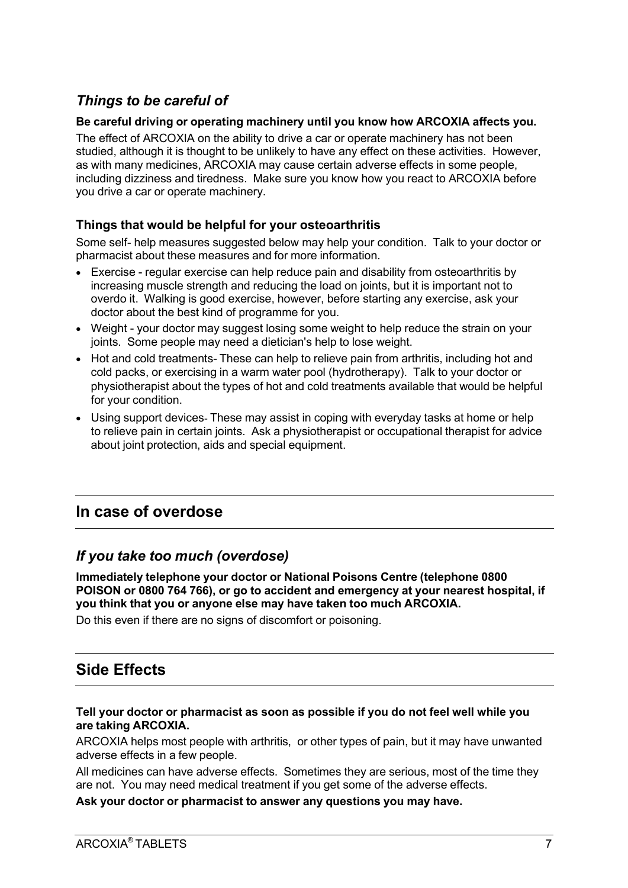## *Things to be careful of*

#### **Be careful driving or operating machinery until you know how ARCOXIA affects you.**

The effect of ARCOXIA on the ability to drive a car or operate machinery has not been studied, although it is thought to be unlikely to have any effect on these activities. However, as with many medicines, ARCOXIA may cause certain adverse effects in some people, including dizziness and tiredness. Make sure you know how you react to ARCOXIA before you drive a car or operate machinery.

### **Things that would be helpful for your osteoarthritis**

Some self- help measures suggested below may help your condition. Talk to your doctor or pharmacist about these measures and for more information.

- Exercise regular exercise can help reduce pain and disability from osteoarthritis by increasing muscle strength and reducing the load on joints, but it is important not to overdo it. Walking is good exercise, however, before starting any exercise, ask your doctor about the best kind of programme for you.
- Weight your doctor may suggest losing some weight to help reduce the strain on your joints. Some people may need a dietician's help to lose weight.
- Hot and cold treatments- These can help to relieve pain from arthritis, including hot and cold packs, or exercising in a warm water pool (hydrotherapy). Talk to your doctor or physiotherapist about the types of hot and cold treatments available that would be helpful for your condition.
- Using support devices- These may assist in coping with everyday tasks at home or help to relieve pain in certain joints. Ask a physiotherapist or occupational therapist for advice about joint protection, aids and special equipment.

## **In case of overdose**

## *If you take too much (overdose)*

**Immediately telephone your doctor or National Poisons Centre (telephone 0800 POISON or 0800 764 766), or go to accident and emergency at your nearest hospital, if you think that you or anyone else may have taken too much ARCOXIA.**

Do this even if there are no signs of discomfort or poisoning.

## **Side Effects**

#### **Tell your doctor or pharmacist as soon as possible if you do not feel well while you are taking ARCOXIA.**

ARCOXIA helps most people with arthritis, or other types of pain, but it may have unwanted adverse effects in a few people.

All medicines can have adverse effects. Sometimes they are serious, most of the time they are not. You may need medical treatment if you get some of the adverse effects.

**Ask your doctor or pharmacist to answer any questions you may have.**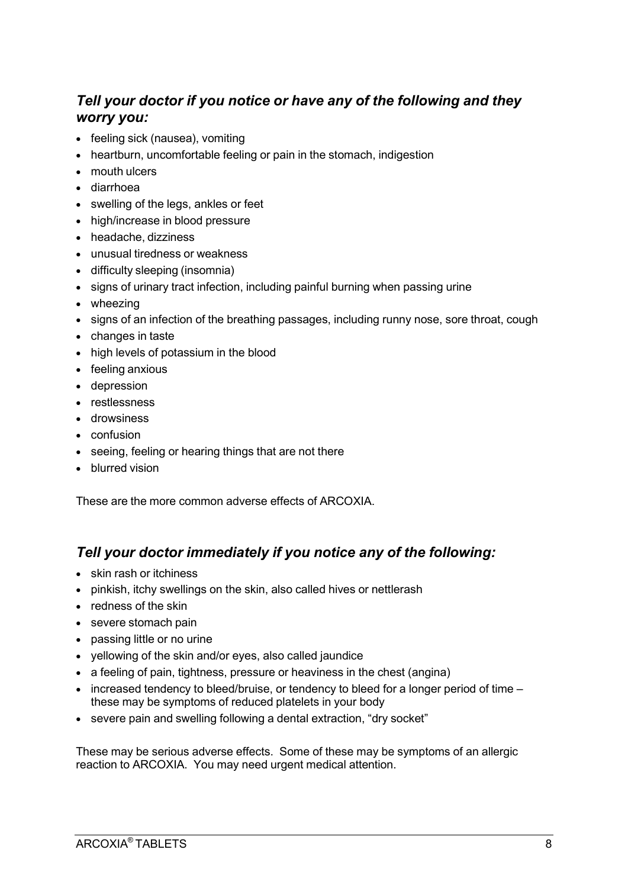## *Tell your doctor if you notice or have any of the following and they worry you:*

- feeling sick (nausea), vomiting
- heartburn, uncomfortable feeling or pain in the stomach, indigestion
- mouth ulcers
- diarrhoea
- swelling of the legs, ankles or feet
- high/increase in blood pressure
- headache, dizziness
- unusual tiredness or weakness
- difficulty sleeping (insomnia)
- signs of urinary tract infection, including painful burning when passing urine
- wheezing
- signs of an infection of the breathing passages, including runny nose, sore throat, cough
- changes in taste
- high levels of potassium in the blood
- feeling anxious
- depression
- restlessness
- drowsiness
- confusion
- seeing, feeling or hearing things that are not there
- blurred vision

These are the more common adverse effects of ARCOXIA.

## *Tell your doctor immediately if you notice any of the following:*

- skin rash or itchiness
- pinkish, itchy swellings on the skin, also called hives or nettlerash
- redness of the skin
- severe stomach pain
- passing little or no urine
- yellowing of the skin and/or eyes, also called jaundice
- a feeling of pain, tightness, pressure or heaviness in the chest (angina)
- increased tendency to bleed/bruise, or tendency to bleed for a longer period of time these may be symptoms of reduced platelets in your body
- severe pain and swelling following a dental extraction, "dry socket"

These may be serious adverse effects. Some of these may be symptoms of an allergic reaction to ARCOXIA. You may need urgent medical attention.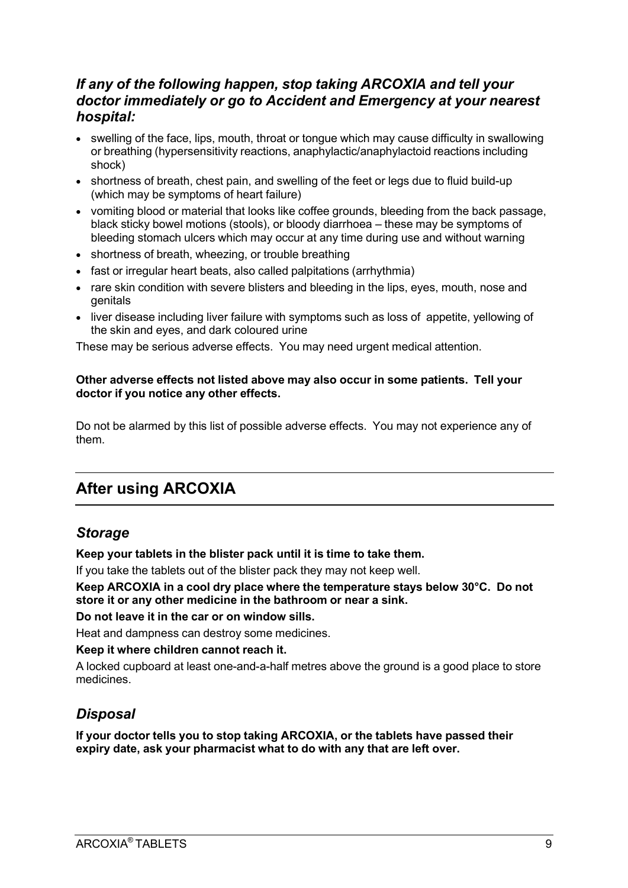## *If any of the following happen, stop taking ARCOXIA and tell your doctor immediately or go to Accident and Emergency at your nearest hospital:*

- swelling of the face, lips, mouth, throat or tongue which may cause difficulty in swallowing or breathing (hypersensitivity reactions, anaphylactic/anaphylactoid reactions including shock)
- shortness of breath, chest pain, and swelling of the feet or legs due to fluid build-up (which may be symptoms of heart failure)
- vomiting blood or material that looks like coffee grounds, bleeding from the back passage, black sticky bowel motions (stools), or bloody diarrhoea – these may be symptoms of bleeding stomach ulcers which may occur at any time during use and without warning
- shortness of breath, wheezing, or trouble breathing
- fast or irregular heart beats, also called palpitations (arrhythmia)
- rare skin condition with severe blisters and bleeding in the lips, eyes, mouth, nose and genitals
- liver disease including liver failure with symptoms such as loss of appetite, yellowing of the skin and eyes, and dark coloured urine

These may be serious adverse effects. You may need urgent medical attention.

#### **Other adverse effects not listed above may also occur in some patients. Tell your doctor if you notice any other effects.**

Do not be alarmed by this list of possible adverse effects. You may not experience any of them.

## **After using ARCOXIA**

### *Storage*

**Keep your tablets in the blister pack until it is time to take them.**

If you take the tablets out of the blister pack they may not keep well.

**Keep ARCOXIA in a cool dry place where the temperature stays below 30°C. Do not store it or any other medicine in the bathroom or near a sink.**

**Do not leave it in the car or on window sills.**

Heat and dampness can destroy some medicines.

**Keep it where children cannot reach it.**

A locked cupboard at least one-and-a-half metres above the ground is a good place to store medicines.

## *Disposal*

**If your doctor tells you to stop taking ARCOXIA, or the tablets have passed their expiry date, ask your pharmacist what to do with any that are left over.**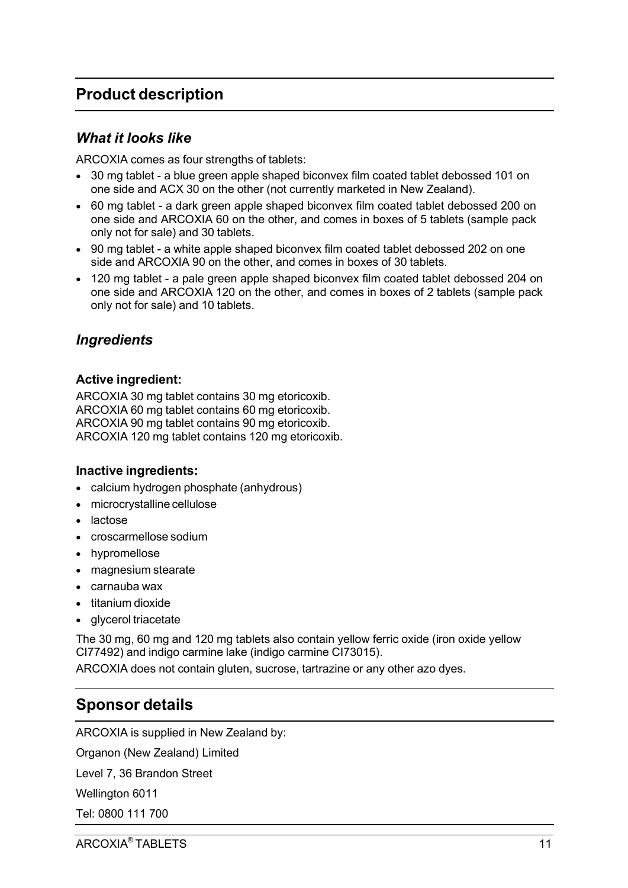## **Product description**

### *What it looks like*

ARCOXIA comes as four strengths of tablets:

- 30 mg tablet a blue green apple shaped biconvex film coated tablet debossed 101 on one side and ACX 30 on the other (not currently marketed in New Zealand).
- 60 mg tablet a dark green apple shaped biconvex film coated tablet debossed 200 on one side and ARCOXIA 60 on the other, and comes in boxes of 5 tablets (sample pack only not for sale) and 30 tablets.
- 90 mg tablet a white apple shaped biconvex film coated tablet debossed 202 on one side and ARCOXIA 90 on the other, and comes in boxes of 30 tablets.
- 120 mg tablet a pale green apple shaped biconvex film coated tablet debossed 204 on one side and ARCOXIA 120 on the other, and comes in boxes of 2 tablets (sample pack only not for sale) and 10 tablets.

## *Ingredients*

#### **Active ingredient:**

ARCOXIA 30 mg tablet contains 30 mg etoricoxib. ARCOXIA 60 mg tablet contains 60 mg etoricoxib. ARCOXIA 90 mg tablet contains 90 mg etoricoxib. ARCOXIA 120 mg tablet contains 120 mg etoricoxib.

#### **Inactive ingredients:**

- calcium hydrogen phosphate (anhydrous)
- microcrystalline cellulose
- lactose
- croscarmellose sodium
- hypromellose
- magnesium stearate
- carnauba wax
- titanium dioxide
- glycerol triacetate

The 30 mg, 60 mg and 120 mg tablets also contain yellow ferric oxide (iron oxide yellow CI77492) and indigo carmine lake (indigo carmine CI73015).

ARCOXIA does not contain gluten, sucrose, tartrazine or any other azo dyes.

## **Sponsor details**

ARCOXIA is supplied in New Zealand by:

Organon (New Zealand) Limited

Level 7, 36 Brandon Street

Wellington 6011

Tel: 0800 111 700